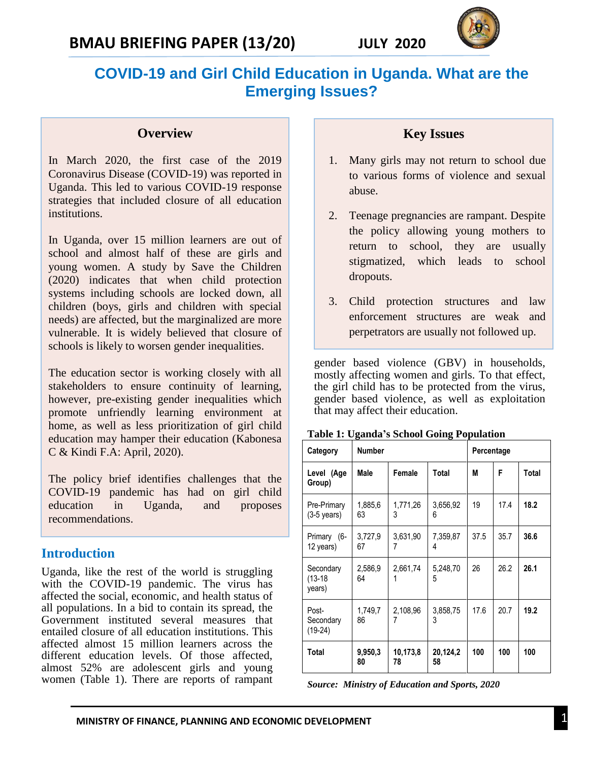



# **COVID-19 and Girl Child Education in Uganda. What are the Emerging Issues?**

### **Overview**

strategies that included closure of all education In March 2020, the first case of the 2019 Coronavirus Disease (COVID-19) was reported in Uganda. This led to various COVID-19 response institutions.

In Uganda, over 15 million learners are out of school and almost half of these are girls and young women. A study by Save the Children (2020) indicates that when child protection systems including schools are locked down, all children (boys, girls and children with special needs) are affected, but the marginalized are more vulnerable. It is widely believed that closure of schools is likely to worsen gender inequalities.

The education sector is working closely with all stakeholders to ensure continuity of learning, however, pre-existing gender inequalities which promote unfriendly learning environment at home, as well as less prioritization of girl child education may hamper their education (Kabonesa C & Kindi F.A: April, 2020).

The policy brief identifies challenges that the COVID-19 pandemic has had on girl child education in Uganda, and proposes recommendations.

### **Introduction**

Uganda, like the rest of the world is struggling with the COVID-19 pandemic. The virus has affected the social, economic, and health status of all populations. In a bid to contain its spread, the Government instituted several measures that entailed closure of all education institutions. This affected almost 15 million learners across the different education levels. Of those affected, almost 52% are adolescent girls and young women (Table 1). There are reports of rampant

### **Key Issues**

- 1. Many girls may not return to school due to various forms of violence and sexual abuse.
- 2. Teenage pregnancies are rampant. Despite the policy allowing young mothers to return to school, they are usually stigmatized, which leads to school dropouts.
- 3. Child protection structures and law enforcement structures are weak and perpetrators are usually not followed up.

gender based violence (GBV) in households, mostly affecting women and girls. To that effect, the girl child has to be protected from the virus, gender based violence, as well as exploitation that may affect their education.

| Category                             | <b>Number</b> |                |                | Percentage |      |       |
|--------------------------------------|---------------|----------------|----------------|------------|------|-------|
| Level (Age<br>Group)                 | Male          | Female         | Total          | М          | F    | Total |
| Pre-Primary<br>$(3-5 \text{ years})$ | 1,885,6<br>63 | 1,771,26<br>3  | 3,656,92<br>6  | 19         | 17.4 | 18.2  |
| Primary (6-<br>12 years)             | 3,727,9<br>67 | 3,631,90<br>7  | 7,359,87<br>4  | 37.5       | 35.7 | 36.6  |
| Secondary<br>$(13-18)$<br>years)     | 2,586,9<br>64 | 2,661,74<br>1  | 5,248,70<br>5  | 26         | 26.2 | 26.1  |
| Post-<br>Secondary<br>$(19-24)$      | 1,749,7<br>86 | 2,108,96<br>7  | 3,858,75<br>3  | 17.6       | 20.7 | 19.2  |
| Total                                | 9,950,3<br>80 | 10,173,8<br>78 | 20,124,2<br>58 | 100        | 100  | 100   |

#### **Table 1: Uganda's School Going Population**

*Source: Ministry of Education and Sports, 2020*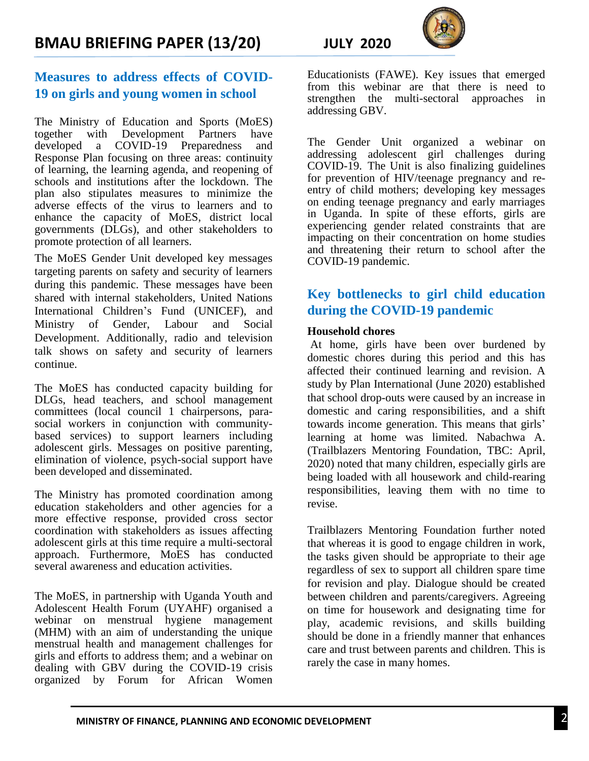## **Measures to address effects of COVID-19 on girls and young women in school**

The Ministry of Education and Sports (MoES) together with Development Partners have developed a COVID-19 Preparedness and Response Plan focusing on three areas: continuity of learning, the learning agenda, and reopening of schools and institutions after the lockdown. The plan also stipulates measures to minimize the adverse effects of the virus to learners and to enhance the capacity of MoES, district local governments (DLGs), and other stakeholders to promote protection of all learners.

The MoES Gender Unit developed key messages targeting parents on safety and security of learners during this pandemic. These messages have been shared with internal stakeholders, United Nations International Children's Fund (UNICEF), and Ministry of Gender, Labour and Social Development. Additionally, radio and television talk shows on safety and security of learners continue.

The MoES has conducted capacity building for DLGs, head teachers, and school management committees (local council 1 chairpersons, parasocial workers in conjunction with communitybased services) to support learners including adolescent girls. Messages on positive parenting, elimination of violence, psych-social support have been developed and disseminated.

The Ministry has promoted coordination among education stakeholders and other agencies for a more effective response, provided cross sector coordination with stakeholders as issues affecting adolescent girls at this time require a multi-sectoral approach. Furthermore, MoES has conducted several awareness and education activities.

The MoES, in partnership with Uganda Youth and Adolescent Health Forum (UYAHF) organised a webinar on menstrual hygiene management (MHM) with an aim of understanding the unique menstrual health and management challenges for girls and efforts to address them; and a webinar on dealing with GBV during the COVID-19 crisis organized by Forum for African Women



Educationists (FAWE). Key issues that emerged from this webinar are that there is need to strengthen the multi-sectoral approaches in addressing GBV.

The Gender Unit organized a webinar on addressing adolescent girl challenges during COVID-19. The Unit is also finalizing guidelines for prevention of HIV/teenage pregnancy and reentry of child mothers; developing key messages on ending teenage pregnancy and early marriages in Uganda. In spite of these efforts, girls are experiencing gender related constraints that are impacting on their concentration on home studies and threatening their return to school after the COVID-19 pandemic.

## **Key bottlenecks to girl child education during the COVID-19 pandemic**

#### **Household chores**

At home, girls have been over burdened by domestic chores during this period and this has affected their continued learning and revision. A study by Plan International (June 2020) established that school drop-outs were caused by an increase in domestic and caring responsibilities, and a shift towards income generation. This means that girls' learning at home was limited. Nabachwa A. (Trailblazers Mentoring Foundation, TBC: April, 2020) noted that many children, especially girls are being loaded with all housework and child-rearing responsibilities, leaving them with no time to revise.

Trailblazers Mentoring Foundation further noted that whereas it is good to engage children in work, the tasks given should be appropriate to their age regardless of sex to support all children spare time for revision and play. Dialogue should be created between children and parents/caregivers. Agreeing on time for housework and designating time for play, academic revisions, and skills building should be done in a friendly manner that enhances care and trust between parents and children. This is rarely the case in many homes.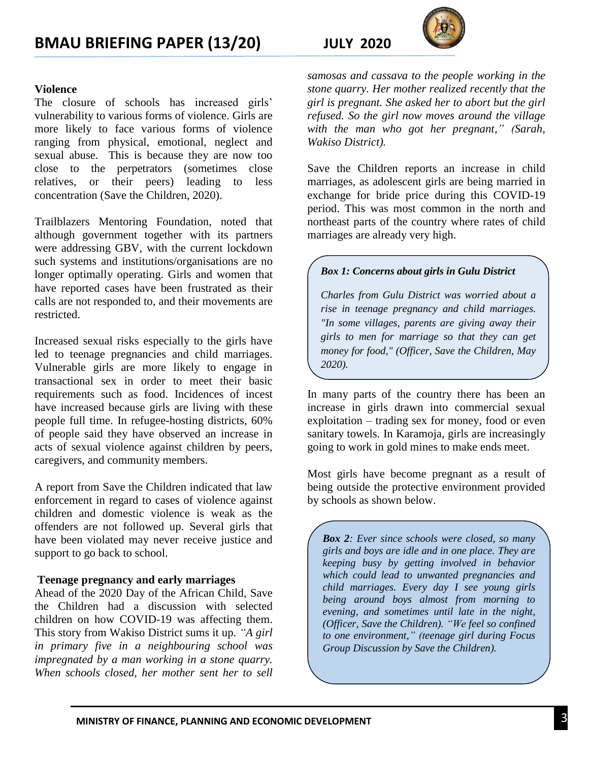#### **Violence**

The closure of schools has increased girls' vulnerability to various forms of violence. Girls are more likely to face various forms of violence ranging from physical, emotional, neglect and sexual abuse. This is because they are now too close to the perpetrators (sometimes close relatives, or their peers) leading to less concentration (Save the Children, 2020).

Trailblazers Mentoring Foundation, noted that although government together with its partners were addressing GBV, with the current lockdown such systems and institutions/organisations are no longer optimally operating. Girls and women that have reported cases have been frustrated as their calls are not responded to, and their movements are restricted.

Increased sexual risks especially to the girls have led to teenage pregnancies and child marriages. Vulnerable girls are more likely to engage in transactional sex in order to meet their basic requirements such as food. Incidences of incest have increased because girls are living with these people full time. In refugee-hosting districts, 60% of people said they have observed an increase in acts of sexual violence against children by peers, caregivers, and community members.

A report from Save the Children indicated that law enforcement in regard to cases of violence against children and domestic violence is weak as the offenders are not followed up. Several girls that have been violated may never receive justice and support to go back to school.

#### **Teenage pregnancy and early marriages**

Ahead of the 2020 [Day of the African Child,](https://en.wikipedia.org/wiki/International_Day_of_the_African_Child) Save the Children had a discussion with selected children on how COVID-19 was affecting them. This story from Wakiso District sums it up. *"A girl in primary five in a neighbouring school was impregnated by a man working in a stone quarry. When schools closed, her mother sent her to sell* 



*samosas and cassava to the people working in the stone quarry. Her mother realized recently that the girl is pregnant. She asked her to abort but the girl refused. So the girl now moves around the village with the man who got her pregnant," (Sarah, Wakiso District).*

Save the Children reports an increase in child marriages, as adolescent girls are being married in exchange for bride price during this COVID-19 period. This was most common in the north and northeast parts of the country where rates of [child](https://uganda.savethechildren.net/news/girls-karamoja-campaign-end-child-marriage)  marriages [are already very high.](https://uganda.savethechildren.net/news/girls-karamoja-campaign-end-child-marriage)

#### *Box 1: Concerns about girls in Gulu District*

*Charles from Gulu District was worried about a rise in teenage pregnancy and child marriages. "In some villages, parents are giving away their girls to men for marriage so that they can get money for food," (Officer, Save the Children, May 2020).*

In many parts of the country there has been an increase in girls drawn into commercial sexual exploitation – trading sex for money, food or even sanitary towels. In Karamoja, girls are increasingly going to work in gold mines to make ends meet.

Most girls have become pregnant as a result of being outside the protective environment provided by schools as shown below.

*Box 2: Ever since schools were closed, so many girls and boys are idle and in one place. They are keeping busy by getting involved in behavior which could lead to unwanted pregnancies and child marriages. Every day I see young girls being around boys almost from morning to evening, and sometimes until late in the night, (Officer, Save the Children). "We feel so confined to one environment," (teenage girl during Focus Group Discussion by Save the Children).*